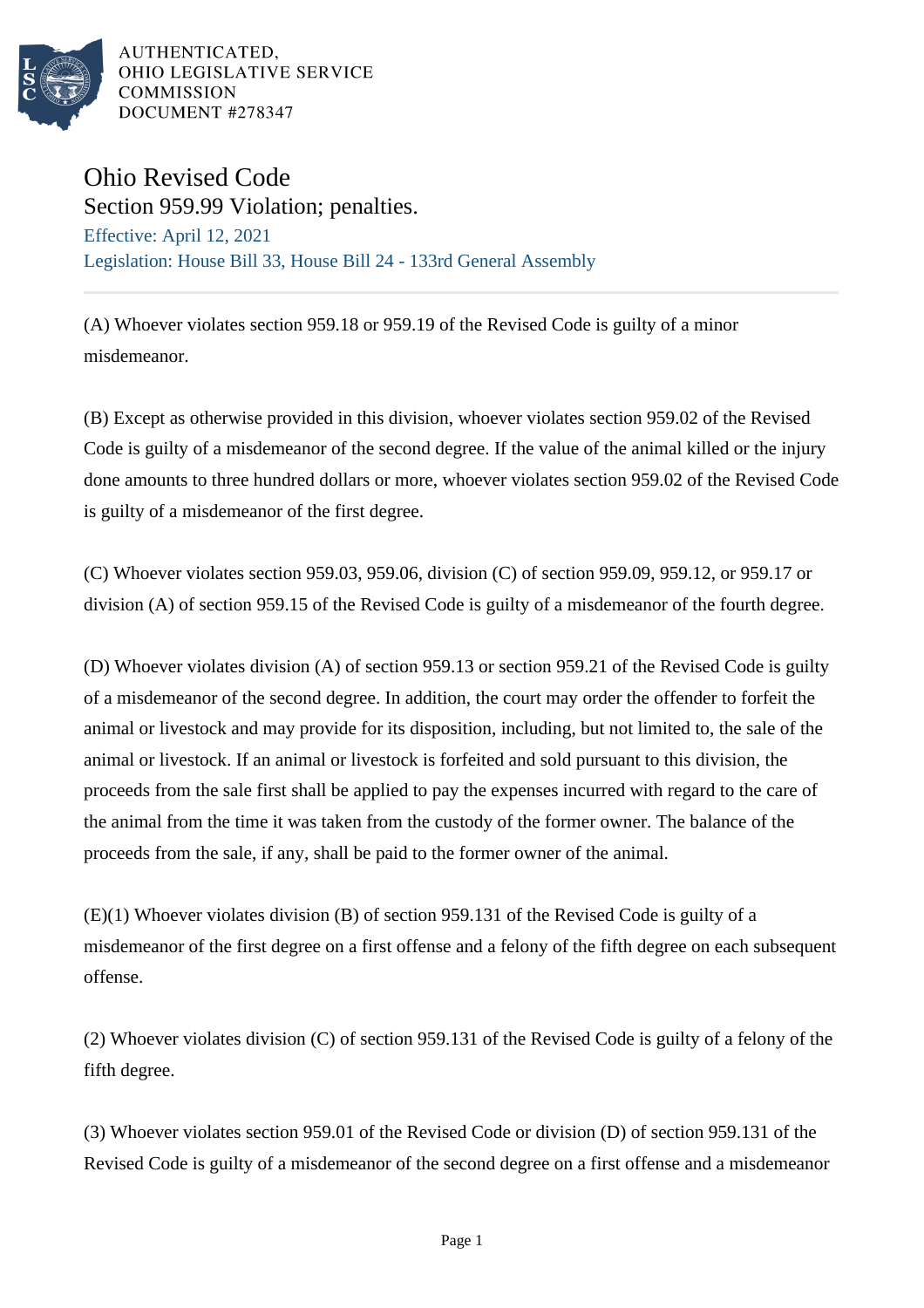

AUTHENTICATED. OHIO LEGISLATIVE SERVICE **COMMISSION** DOCUMENT #278347

## Ohio Revised Code

Section 959.99 Violation; penalties. Effective: April 12, 2021 Legislation: House Bill 33, House Bill 24 - 133rd General Assembly

(A) Whoever violates section 959.18 or 959.19 of the Revised Code is guilty of a minor misdemeanor.

(B) Except as otherwise provided in this division, whoever violates section 959.02 of the Revised Code is guilty of a misdemeanor of the second degree. If the value of the animal killed or the injury done amounts to three hundred dollars or more, whoever violates section 959.02 of the Revised Code is guilty of a misdemeanor of the first degree.

(C) Whoever violates section 959.03, 959.06, division (C) of section 959.09, 959.12, or 959.17 or division (A) of section 959.15 of the Revised Code is guilty of a misdemeanor of the fourth degree.

(D) Whoever violates division (A) of section 959.13 or section 959.21 of the Revised Code is guilty of a misdemeanor of the second degree. In addition, the court may order the offender to forfeit the animal or livestock and may provide for its disposition, including, but not limited to, the sale of the animal or livestock. If an animal or livestock is forfeited and sold pursuant to this division, the proceeds from the sale first shall be applied to pay the expenses incurred with regard to the care of the animal from the time it was taken from the custody of the former owner. The balance of the proceeds from the sale, if any, shall be paid to the former owner of the animal.

(E)(1) Whoever violates division (B) of section 959.131 of the Revised Code is guilty of a misdemeanor of the first degree on a first offense and a felony of the fifth degree on each subsequent offense.

(2) Whoever violates division (C) of section 959.131 of the Revised Code is guilty of a felony of the fifth degree.

(3) Whoever violates section 959.01 of the Revised Code or division (D) of section 959.131 of the Revised Code is guilty of a misdemeanor of the second degree on a first offense and a misdemeanor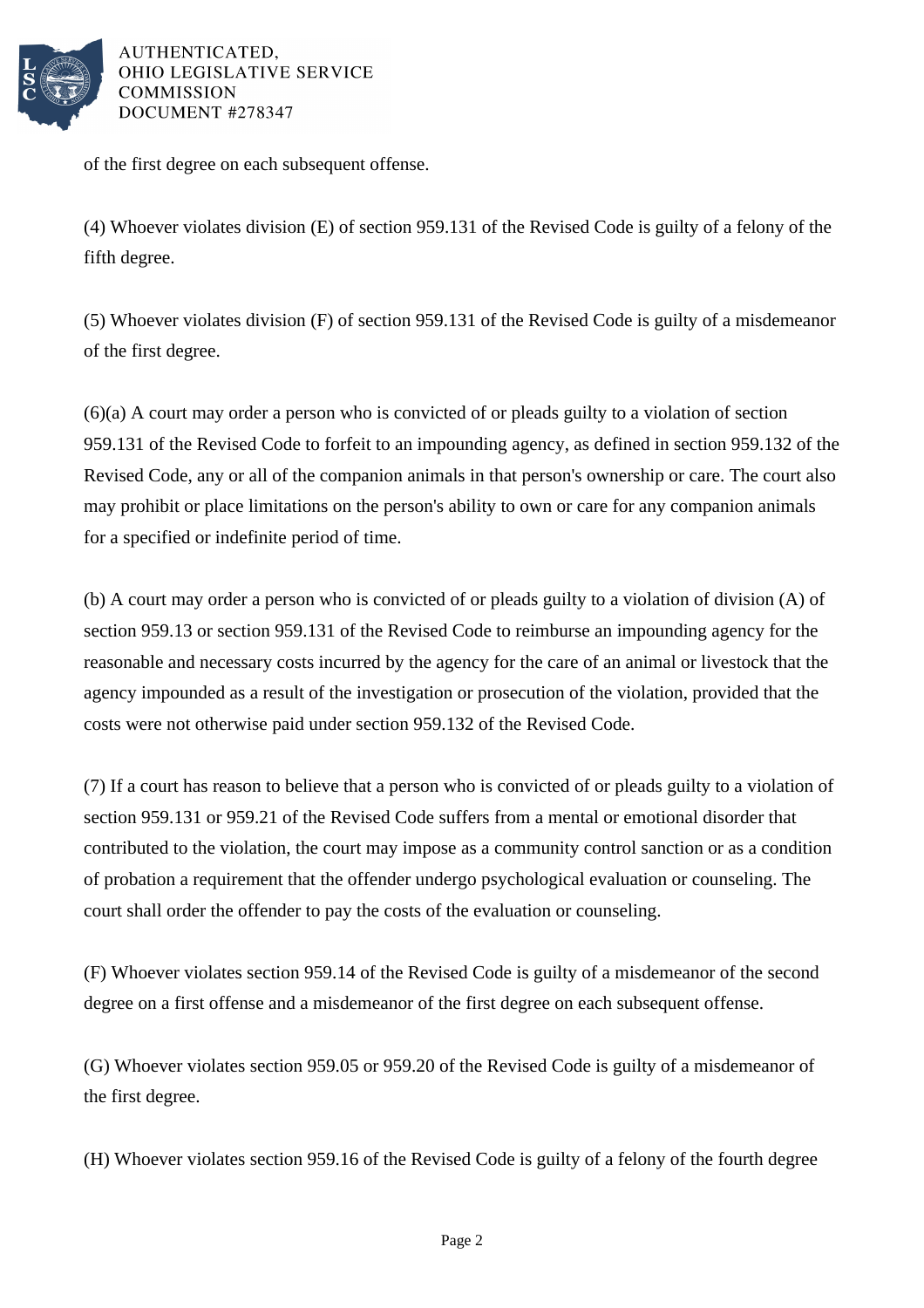

AUTHENTICATED. OHIO LEGISLATIVE SERVICE **COMMISSION** DOCUMENT #278347

of the first degree on each subsequent offense.

(4) Whoever violates division (E) of section 959.131 of the Revised Code is guilty of a felony of the fifth degree.

(5) Whoever violates division (F) of section 959.131 of the Revised Code is guilty of a misdemeanor of the first degree.

(6)(a) A court may order a person who is convicted of or pleads guilty to a violation of section 959.131 of the Revised Code to forfeit to an impounding agency, as defined in section 959.132 of the Revised Code, any or all of the companion animals in that person's ownership or care. The court also may prohibit or place limitations on the person's ability to own or care for any companion animals for a specified or indefinite period of time.

(b) A court may order a person who is convicted of or pleads guilty to a violation of division (A) of section 959.13 or section 959.131 of the Revised Code to reimburse an impounding agency for the reasonable and necessary costs incurred by the agency for the care of an animal or livestock that the agency impounded as a result of the investigation or prosecution of the violation, provided that the costs were not otherwise paid under section 959.132 of the Revised Code.

(7) If a court has reason to believe that a person who is convicted of or pleads guilty to a violation of section 959.131 or 959.21 of the Revised Code suffers from a mental or emotional disorder that contributed to the violation, the court may impose as a community control sanction or as a condition of probation a requirement that the offender undergo psychological evaluation or counseling. The court shall order the offender to pay the costs of the evaluation or counseling.

(F) Whoever violates section 959.14 of the Revised Code is guilty of a misdemeanor of the second degree on a first offense and a misdemeanor of the first degree on each subsequent offense.

(G) Whoever violates section 959.05 or 959.20 of the Revised Code is guilty of a misdemeanor of the first degree.

(H) Whoever violates section 959.16 of the Revised Code is guilty of a felony of the fourth degree